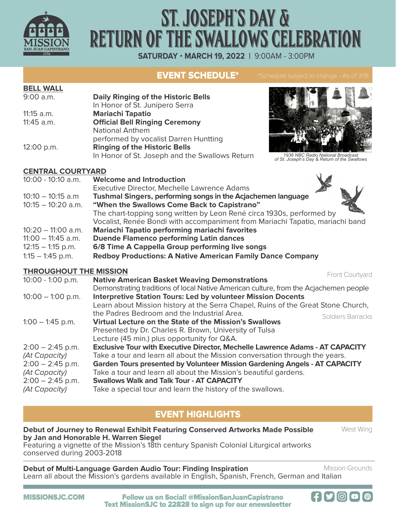

# ST. JOSEPH'S DAY & RETURN OF THE SWALLOWS CELEBRATION

**SATURDAY** • **MARCH 19, 2022 |** 9:00AM - 3:00PM

# EVENT SCHEDULE\*

## **BELL WALL**

| 9:00 a.m.  | <b>Daily Ringing of the Historic Bells</b>     |  |  |
|------------|------------------------------------------------|--|--|
|            | In Honor of St. Junípero Serra                 |  |  |
| 11:15 a.m. | <b>Mariachi Tapatio</b>                        |  |  |
| 11:45 a.m. | <b>Official Bell Ringing Ceremony</b>          |  |  |
|            | <b>National Anthem</b>                         |  |  |
|            | performed by vocalist Darren Huntting          |  |  |
| 12:00 p.m. | <b>Ringing of the Historic Bells</b>           |  |  |
|            | In Honor of St. Joseph and the Swallows Return |  |  |



*1936 NBC Radio National Broadcast of St. Joseph's Day & Return of the Swallows*

## **CENTRAL COURTYARD**

| 10:00 - 10:10 a.m.   | <b>Welcome and Introduction</b>                                               |
|----------------------|-------------------------------------------------------------------------------|
|                      | Executive Director, Mechelle Lawrence Adams                                   |
| $10:10 - 10:15$ a.m  | Tushmal Singers, performing songs in the Acjachemen language                  |
| $10:15 - 10:20$ a.m. | "When the Swallows Come Back to Capistrano"                                   |
|                      | The chart-topping song written by Leon René circa 1930s, performed by         |
|                      | Vocalist, Renée Bondi with accompaniment from Mariachi Tapatio, mariachi band |
| $10:20 - 11:00$ a.m. | Mariachi Tapatio performing mariachi favorites                                |
| $11:00 - 11:45$ a.m. | <b>Duende Flamenco performing Latin dances</b>                                |
| $12:15 - 1:15$ p.m.  | 6/8 Time A Cappella Group performing live songs                               |
| $1:15 - 1:45$ p.m.   | <b>Redboy Productions: A Native American Family Dance Company</b>             |
|                      |                                                                               |

## **THROUGHOUT THE MISSION**

| INUCCIN JNE MISSIUM |                                                                                       | Front Courtyard   |
|---------------------|---------------------------------------------------------------------------------------|-------------------|
| $10:00 - 1:00$ p.m. | <b>Native American Basket Weaving Demonstrations</b>                                  |                   |
|                     | Demonstrating traditions of local Native American culture, from the Acjachemen people |                   |
| $10:00 - 1:00$ p.m. | <b>Interpretive Station Tours: Led by volunteer Mission Docents</b>                   |                   |
|                     | Learn about Mission history at the Serra Chapel, Ruins of the Great Stone Church,     |                   |
|                     | the Padres Bedroom and the Industrial Area.                                           | Soldiers Barracks |
| $1:00 - 1:45$ p.m.  | Virtual Lecture on the State of the Mission's Swallows                                |                   |
|                     | Presented by Dr. Charles R. Brown, University of Tulsa                                |                   |
|                     | Lecture (45 min.) plus opportunity for Q&A.                                           |                   |
| $2:00 - 2:45$ p.m.  | <b>Exclusive Tour with Executive Director, Mechelle Lawrence Adams - AT CAPACITY</b>  |                   |
| (At Capacity)       | Take a tour and learn all about the Mission conversation through the years.           |                   |
| $2:00 - 2:45$ p.m.  | <b>Garden Tours presented by Volunteer Mission Gardening Angels - AT CAPACITY</b>     |                   |
| (At Capacity)       | Take a tour and learn all about the Mission's beautiful gardens.                      |                   |
| $2:00 - 2:45$ p.m.  | <b>Swallows Walk and Talk Tour - AT CAPACITY</b>                                      |                   |
| (At Capacity)       | Take a special tour and learn the history of the swallows.                            |                   |

# EVENT HIGHLIGHTS

**Debut of Journey to Renewal Exhibit Featuring Conserved Artworks Made Possible by Jan and Honorable H. Warren Siegel** Featuring a vignette of the Mission's 18th century Spanish Colonial Liturgical artworks

conserved during 2003-2018

**Debut of Multi-Language Garden Audio Tour: Finding Inspiration** Learn all about the Mission's gardens available in English, Spanish, French, German and Italian

Mission Grounds

West Wing

MISSIONSJC.COM Follow us on Social! @MissionSanJuanCapistrano Text MissionSJC to 22828 to sign up for our enewsleetter